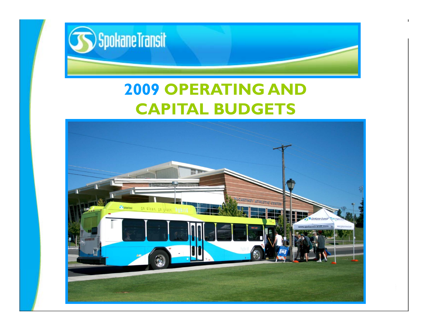

### **2009 OPERATING AND CAPITAL BUDGETS**

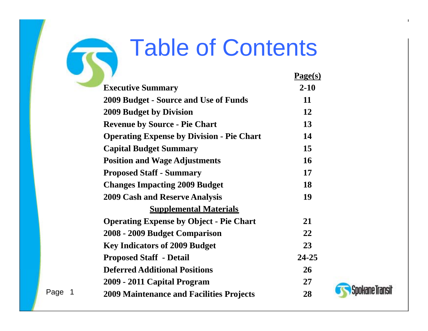### Table of Contents

| <b>Table of Contents</b>                                   |           |
|------------------------------------------------------------|-----------|
|                                                            | Page(s)   |
| <b>Executive Summary</b>                                   | $2 - 10$  |
| <b>2009 Budget - Source and Use of Funds</b>               | 11        |
| <b>2009 Budget by Division</b>                             | 12        |
| <b>Revenue by Source - Pie Chart</b>                       | 13        |
| <b>Operating Expense by Division - Pie Chart</b>           | 14        |
| <b>Capital Budget Summary</b>                              | 15        |
| <b>Position and Wage Adjustments</b>                       | 16        |
| <b>Proposed Staff - Summary</b>                            | 17        |
| <b>Changes Impacting 2009 Budget</b>                       | 18        |
| <b>2009 Cash and Reserve Analysis</b>                      | 19        |
| <b>Supplemental Materials</b>                              |           |
| <b>Operating Expense by Object - Pie Chart</b>             | 21        |
| 2008 - 2009 Budget Comparison                              | 22        |
| <b>Key Indicators of 2009 Budget</b>                       | 23        |
| <b>Proposed Staff - Detail</b>                             | $24 - 25$ |
| <b>Deferred Additional Positions</b>                       | 26        |
| 2009 - 2011 Capital Program                                | 27        |
| -1<br>e<br><b>2009 Maintenance and Facilities Projects</b> | 28        |



 $\mathbf{I}$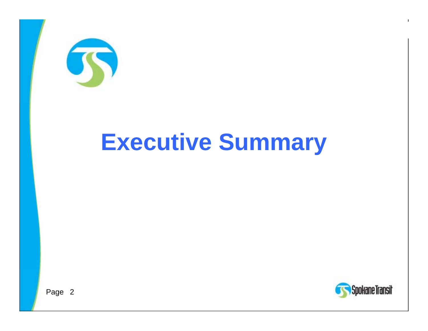

# **Executive Summary**



 $\mathbf{I}$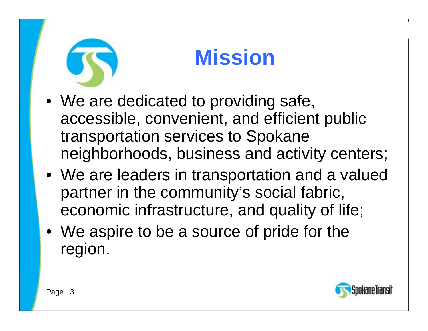

### **Mission**

- $\bullet\,$  We are dedicated to providing safe, accessible, convenient, and efficient public transportation services to Spokane neighborhoods, business and activity centers;
- We are leaders in transportation and a valued partner in the community's social fabric, economic infrastructure, and quality of life;
- We aspire to be a source of pride for the region.

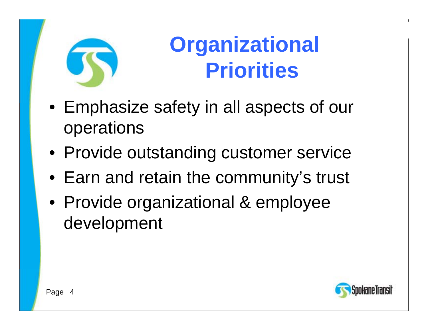

### **Organizational Priorities**

- Emphasize safety in all aspects of our operations
- Provide outstanding customer service
- Earn and retain the communit y's trust
- Provide organizational & employee development

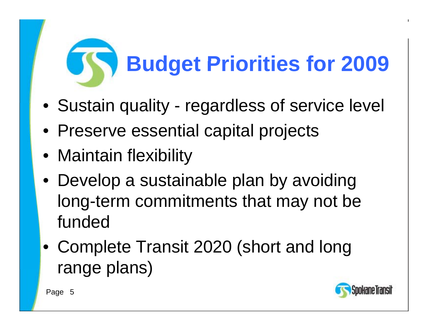# **Budget Priorities for 2009**

- Sustain quality regardless of service level
- Preserve essential capital projects
- Maintain flexibility
- $\bullet\,$  Develop a sustainable plan by avoiding long-term commitments that may not be funded
- Complete Transit 2020 (short and long range plans)

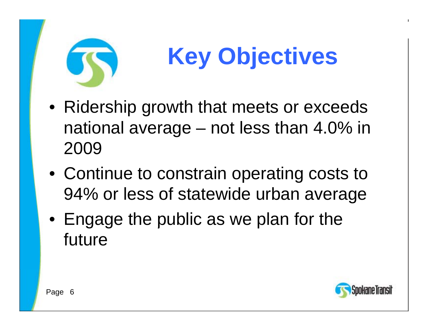

# **Key Objectives**

- Ridership growth that meets or exceeds national average – not less than 4.0% in 2009
- Continue to constrain operating costs to 94% or less of statewide urban average
- $\bullet\,$  Engage the public as we plan for the future

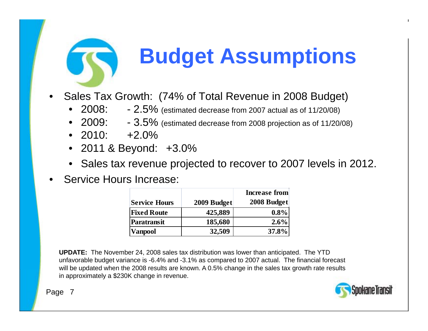

### **Budget Assumptions**

- • Sales Tax Growth: (74% of Total Revenue in 2008 Budget)
	- • $2008: -2.5\%$  (estimated decrease from 2007 actual as of 11/20/08)
	- • $2009: -3.5\%$  (estimated decrease from 2008 projection as of 11/20/08)
	- •2010: +2.0%
	- 2011 & Beyond: +3.0%
	- Sales tax revenue projected to recover to 2007 levels in 2012.
- •Service Hours Increase:

|                      |             | <b>Increase from</b> |
|----------------------|-------------|----------------------|
| <b>Service Hours</b> | 2009 Budget | 2008 Budget          |
| <b>Fixed Route</b>   | 425,889     | $0.8\%$              |
| Paratransit          | 185,680     | $2.6\%$              |
| <b>Vanpool</b>       | 32,509      | 37.8%                |

**UPDATE:** The November 24, 2008 sales tax distribution was lower than anticipated. The YTD unfavorable budget variance is -6.4% and -3.1% as compared to 2007 actual. The financial forecast will be updated when the 2008 results are known. A 0.5% change in the sales tax growth rate results in approximately a \$230K change in revenue.

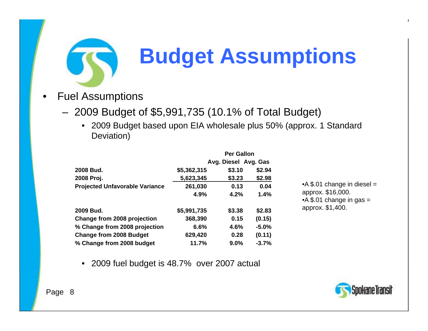

### **Budget Assumptions**

- • Fuel Assumptions
	- 2009 Budget of \$5,991,735 (10.1% of Total Budget)
		- 2009 Budget based upon EIA wholesale plus 50% (approx. 1 Standard Deviation)

|                                       | <b>Per Gallon</b> |                      |         |  |
|---------------------------------------|-------------------|----------------------|---------|--|
|                                       |                   | Avg. Diesel Avg. Gas |         |  |
| 2008 Bud.                             | \$5,362,315       | \$3.10               | \$2.94  |  |
| 2008 Proj.                            | 5,623,345         | \$3.23               | \$2.98  |  |
| <b>Projected Unfavorable Variance</b> | 261,030           | 0.13                 | 0.04    |  |
|                                       | 4.9%              | 4.2%                 | 1.4%    |  |
| 2009 Bud.                             | \$5,991,735       | \$3.38               | \$2.83  |  |
| Change from 2008 projection           | 368,390           | 0.15                 | (0.15)  |  |
| % Change from 2008 projection         | 6.6%              | 4.6%                 | $-5.0%$ |  |
| <b>Change from 2008 Budget</b>        | 629,420           | 0.28                 | (0.11)  |  |
| % Change from 2008 budget             | 11.7%             | 9.0%                 | $-3.7%$ |  |

 $\bullet$ 2009 fuel budget is 48.7% over 2007 actual

•A \$.01 change in diesel = A approx. \$16,000. • $A$  \$.01 change in gas = approx. \$1,400.

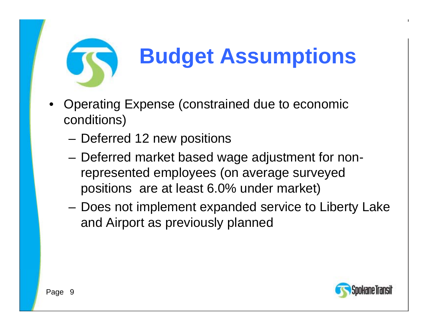

### **Budget Assumptions**

- • Operating Expense (constrained due to economic conditions)
	- Deferred 12 new positions
	- – Deferred market based wage adjustment for nonrepresented employees (on average surveyed positions are at least 6 0% under market) 6.0%
	- – Does not implement expanded service to Liberty Lake and Airport as previously planned

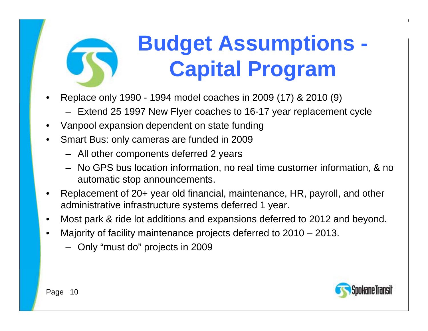

### **Budget Assumptions - Capital Program**

- •Replace only 1990 - 1994 model coaches in 2009 (17) & 2010 (9)<br>Fytend 25 1997 New Flyer coaches to 16-17 vear replacement
	- Extend 25 1997 New Flyer coaches to 16-17 year replacement cycle
- •Vanpool expansion dependent on state funding
- • Smart Bus: onl y cameras are funded in 2009
	- All other components deferred 2 years
	- No GPS bus location information, no real time customer information, & no automatic stop announcements.
- • Replacement of 20+ year old financial, maintenance, HR, payroll, and other administrative infrastructure systems deferred 1 year.
- •Most park & ride lot additions and expansions deferred to 2012 and beyond.
- • Majority of facility maintenance projects deferred to 2010 – 2013.
	- Only "must do" projects in 2009

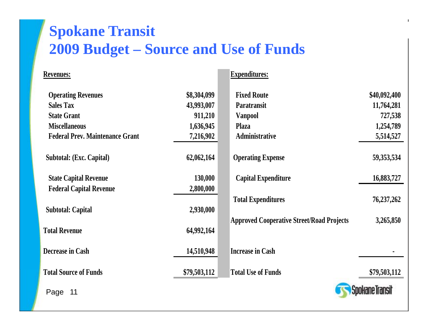### **Spokane Transit 2009 Budget – Source and Use of Funds**

| Revenues:                              |              | <b>Expenditures:</b>                             |                        |
|----------------------------------------|--------------|--------------------------------------------------|------------------------|
| <b>Operating Revenues</b>              | \$8,304,099  | <b>Fixed Route</b>                               | \$40,092,400           |
| <b>Sales Tax</b>                       | 43,993,007   | <b>Paratransit</b>                               | 11,764,281             |
| <b>State Grant</b>                     | 911,210      | <b>Vanpool</b>                                   | 727,538                |
| <b>Miscellaneous</b>                   | 1,636,945    | <b>Plaza</b>                                     | 1,254,789              |
| <b>Federal Prev. Maintenance Grant</b> | 7,216,902    | Administrative                                   | 5,514,527              |
| Subtotal: (Exc. Capital)               | 62,062,164   | <b>Operating Expense</b>                         | 59, 353, 534           |
| <b>State Capital Revenue</b>           | 130,000      | <b>Capital Expenditure</b>                       | 16,883,727             |
| <b>Federal Capital Revenue</b>         | 2,800,000    |                                                  |                        |
| <b>Subtotal: Capital</b>               | 2,930,000    | <b>Total Expenditures</b>                        | 76,237,262             |
|                                        |              | <b>Approved Cooperative Street/Road Projects</b> | 3,265,850              |
| <b>Total Revenue</b>                   | 64,992,164   |                                                  |                        |
| <b>Decrease in Cash</b>                | 14,510,948   | <b>Increase in Cash</b>                          |                        |
| <b>Total Source of Funds</b>           | \$79,503,112 | <b>Total Use of Funds</b>                        | \$79,503,112           |
| Page 11                                |              |                                                  | <b>Spokane Transit</b> |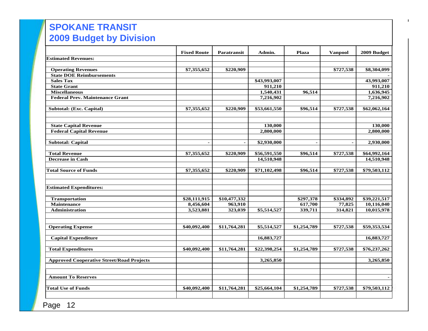#### **SPOKANE TRANSIT SPOKANE TRANSIT 2009 Draft Budget Budget Budget Budget Budget Budget Budget Budget Budget Budget Budget Budget Budget Budget Budget Budget Budget Budget Budget Budget Budget Budget Budget Budget Budget Budget Budget Budget Budget Budget 2009 Budget by Division**

|                                                  | <b>Fixed Route</b>       | Paratransit  | Admin.       | Plaza          | <b>Vanpool</b> | 2009 Budget  |
|--------------------------------------------------|--------------------------|--------------|--------------|----------------|----------------|--------------|
| <b>Estimated Revenues:</b>                       |                          |              |              |                |                |              |
|                                                  |                          |              |              |                |                |              |
| <b>Operating Revenues</b>                        | \$7,355,652              | \$220,909    |              |                | \$727,538      | \$8,304,099  |
| <b>State DOE Reimbursements</b>                  |                          |              |              |                |                |              |
| <b>Sales Tax</b>                                 |                          |              | \$43,993,007 |                |                | 43,993,007   |
| <b>State Grant</b>                               |                          |              | 911,210      |                |                | 911,210      |
| <b>Miscellaneous</b>                             |                          |              | 1,540,431    | 96,514         |                | 1,636,945    |
| <b>Federal Prev. Maintenance Grant</b>           |                          |              | 7,216,902    |                |                | 7,216,902    |
| Subtotal: (Exc. Capital)                         | \$7,355,652              | \$220,909    | \$53,661,550 | \$96,514       | \$727,538      | \$62,062,164 |
|                                                  |                          |              |              |                |                |              |
| <b>State Capital Revenue</b>                     |                          |              | 130,000      |                |                | 130,000      |
| <b>Federal Capital Revenue</b>                   |                          |              | 2,800,000    |                |                | 2,800,000    |
| <b>Subtotal: Capital</b>                         | $\overline{\phantom{a}}$ |              | \$2,930,000  | $\blacksquare$ | $\blacksquare$ | 2,930,000    |
|                                                  |                          |              |              |                |                |              |
| <b>Total Revenue</b>                             | \$7,355,652              | \$220,909    | \$56,591,550 | \$96,514       | \$727,538      | \$64,992,164 |
| <b>Decrease in Cash</b>                          |                          |              | 14,510,948   |                |                | 14,510,948   |
| <b>Total Source of Funds</b>                     | \$7,355,652              | \$220,909    | \$71,102,498 | \$96,514       | \$727,538      | \$79,503,112 |
| <b>Estimated Expenditures:</b>                   |                          |              |              |                |                |              |
| <b>Transportation</b>                            | \$28,111,915             | \$10,477,332 |              | \$297,378      | \$334,892      | \$39,221,517 |
| <b>Maintenance</b>                               | 8,456,604                | 963,910      |              | 617,700        | 77,825         | 10,116,040   |
| <b>Administration</b>                            | 3,523,881                | 323,039      | \$5,514,527  | 339,711        | 314,821        | 10,015,978   |
| <b>Operating Expense</b>                         | \$40,092,400             | \$11,764,281 | \$5,514,527  | \$1,254,789    | \$727,538      | \$59,353,534 |
| <b>Capital Expenditure</b>                       |                          |              | 16,883,727   |                |                | 16,883,727   |
| <b>Total Expenditures</b>                        | \$40,092,400             | \$11,764,281 | \$22,398,254 | \$1,254,789    | \$727,538      | \$76,237,262 |
| <b>Approved Cooperative Street/Road Projects</b> |                          |              | 3,265,850    |                |                | 3,265,850    |
| <b>Amount To Reserves</b>                        |                          |              |              |                |                |              |
| <b>Total Use of Funds</b>                        | \$40,092,400             | \$11,764,281 | \$25,664,104 | \$1,254,789    | \$727,538      | \$79,503,112 |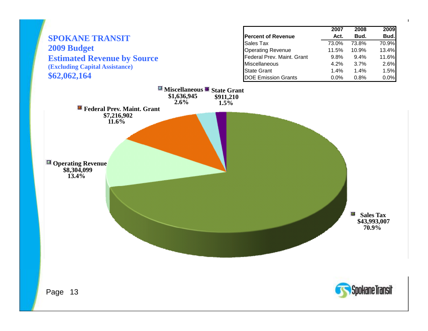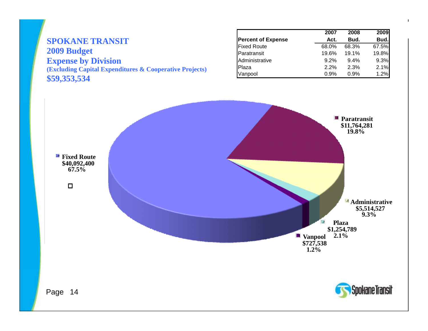#### **SPOKANE TRANSIT 2009 Budget Expense by Division CONSUMERTY Administrative** 9.2% 9.4% 9.3% **(Excluding Capital Expenditures & Cooperative Projects) \$59,353,534**

|                           | 2007  | 2008  | 2009  |
|---------------------------|-------|-------|-------|
| <b>Percent of Expense</b> | Act.  | Bud.  | Bud.  |
| <b>Fixed Route</b>        | 68.0% | 68.3% | 67.5% |
| Paratransit               | 19.6% | 19.1% | 19.8% |
| Administrative            | 9.2%  | 9.4%  | 9.3%  |
| Plaza                     | 2.2%  | 2.3%  | 2.1%  |
| Vanpool                   | 0.9%  | 0.9%  | 1.2%  |

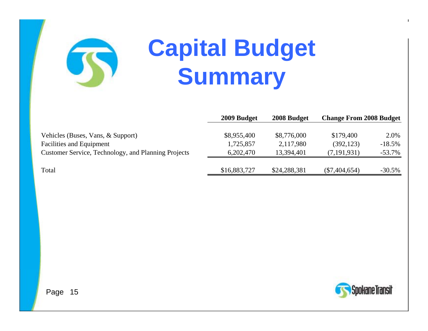# **Capital Budget Summary**

|                                                     | 2009 Budget  | 2008 Budget  | <b>Change From 2008 Budget</b> |           |  |
|-----------------------------------------------------|--------------|--------------|--------------------------------|-----------|--|
| Vehicles (Buses, Vans, & Support)                   | \$8,955,400  | \$8,776,000  | \$179,400                      | 2.0%      |  |
| <b>Facilities and Equipment</b>                     | 1,725,857    | 2,117,980    | (392, 123)                     | $-18.5%$  |  |
| Customer Service, Technology, and Planning Projects | 6,202,470    | 13,394,401   | (7, 191, 931)                  | $-53.7\%$ |  |
| Total                                               | \$16,883,727 | \$24,288,381 | $(\$7,404,654)$                | $-30.5\%$ |  |

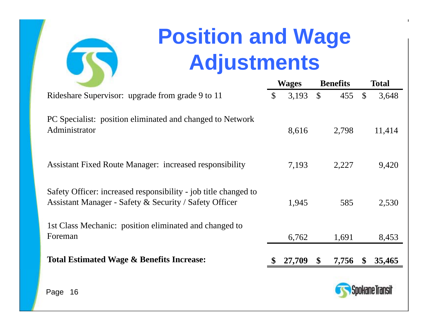

### **Position and Wage Adjustments**

|                                                                                                                           |               | <b>Wages</b> |              | <b>Benefits</b> |               | Total  |
|---------------------------------------------------------------------------------------------------------------------------|---------------|--------------|--------------|-----------------|---------------|--------|
| Rideshare Supervisor: upgrade from grade 9 to 11                                                                          | $\mathcal{S}$ | 3,193        | $\mathbb{S}$ | 455             | $\mathbb{S}$  | 3,648  |
| PC Specialist: position eliminated and changed to Network<br>Administrator                                                |               | 8,616        |              | 2,798           |               | 11,414 |
| <b>Assistant Fixed Route Manager: increased responsibility</b>                                                            |               | 7,193        |              | 2,227           |               | 9,420  |
| Safety Officer: increased responsibility - job title changed to<br>Assistant Manager - Safety & Security / Safety Officer |               | 1,945        |              | 585             |               | 2,530  |
| 1st Class Mechanic: position eliminated and changed to<br>Foreman                                                         |               | 6,762        |              | 1,691           |               | 8,453  |
| <b>Total Estimated Wage &amp; Benefits Increase:</b>                                                                      |               | 27,709       | \$           | 7,756           | $\mathbf{\$}$ | 35,465 |
| 16<br>Page                                                                                                                |               |              |              |                 |               |        |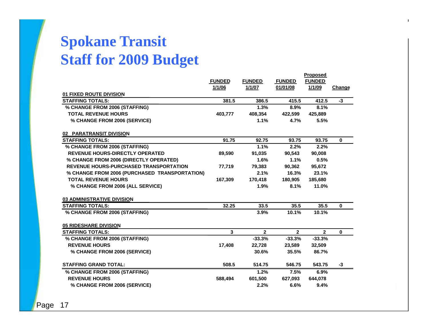### **Spokane Transit Staff for 2009 Budget for**

|                                               |               |                |                | <u>Proposea</u> |               |
|-----------------------------------------------|---------------|----------------|----------------|-----------------|---------------|
|                                               | <b>FUNDED</b> | <b>FUNDED</b>  | <b>FUNDED</b>  | <b>FUNDED</b>   |               |
|                                               | 1/1/06        | 1/1/07         | 01/01/08       | 1/1/09          | <b>Change</b> |
| 01 FIXED ROUTE DIVISION                       |               |                |                |                 |               |
| <b>STAFFING TOTALS:</b>                       | 381.5         | 386.5          | 415.5          | 412.5           | $-3$          |
| % CHANGE FROM 2006 (STAFFING)                 |               | 1.3%           | 8.9%           | 8.1%            |               |
| <b>TOTAL REVENUE HOURS</b>                    | 403.777       | 408,354        | 422,599        | 425,889         |               |
| % CHANGE FROM 2006 (SERVICE)                  |               | 1.1%           | 4.7%           | 5.5%            |               |
| 02 PARATRANSIT DIVISION                       |               |                |                |                 |               |
| <b>STAFFING TOTALS:</b>                       | 91.75         | 92.75          | 93.75          | 93.75           | 0             |
| % CHANGE FROM 2006 (STAFFING)                 |               | 1.1%           | 2.2%           | 2.2%            |               |
| REVENUE HOURS-DIRECTLY OPERATED               | 89,590        | 91,035         | 90,543         | 90,008          |               |
| % CHANGE FROM 2006 (DIRECTLY OPERATED)        |               | 1.6%           | 1.1%           | 0.5%            |               |
| <b>REVENUE HOURS-PURCHASED TRANSPORTATION</b> | 77,719        | 79,383         | 90,362         | 95,672          |               |
| % CHANGE FROM 2006 (PURCHASED TRANSPORTATION) |               | 2.1%           | 16.3%          | 23.1%           |               |
| <b>TOTAL REVENUE HOURS</b>                    | 167,309       | 170,418        | 180,905        | 185,680         |               |
| % CHANGE FROM 2006 (ALL SERVICE)              |               | 1.9%           | 8.1%           | 11.0%           |               |
| <b>03 ADMINISTRATIVE DIVISION</b>             |               |                |                |                 |               |
| <b>STAFFING TOTALS:</b>                       | 32.25         | 33.5           | 35.5           | 35.5            | $\mathbf{0}$  |
| % CHANGE FROM 2006 (STAFFING)                 |               | 3.9%           | 10.1%          | 10.1%           |               |
| 05 RIDESHARE DIVISION                         |               |                |                |                 |               |
| <b>STAFFING TOTALS:</b>                       | 3             | $\overline{2}$ | $\overline{2}$ | $\overline{2}$  | $\mathbf{0}$  |
| % CHANGE FROM 2006 (STAFFING)                 |               | $-33.3%$       | $-33.3%$       | $-33.3%$        |               |
| <b>REVENUE HOURS</b>                          | 17,408        | 22,728         | 23,589         | 32,509          |               |
| % CHANGE FROM 2006 (SERVICE)                  |               | 30.6%          | 35.5%          | 86.7%           |               |
| <b>STAFFING GRAND TOTAL:</b>                  | 508.5         | 514.75         | 546.75         | 543.75          | -3            |
| % CHANGE FROM 2006 (STAFFING)                 |               | 1.2%           | 7.5%           | 6.9%            |               |
| <b>REVENUE HOURS</b>                          | 588,494       | 601,500        | 627,093        | 644,078         |               |
| % CHANGE FROM 2006 (SERVICE)                  |               | 2.2%           | 6.6%           | 9.4%            |               |

**Proposed**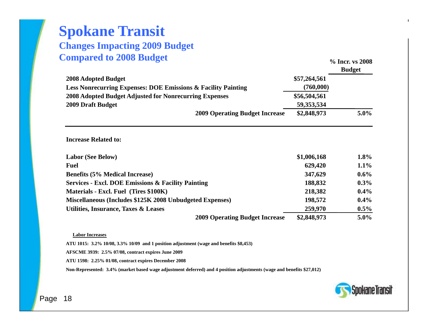#### **SPOKANE TRANSIT Changes Impacting 2009 Operating Budget Spokane Transit Changes Impacting 2009 Budget Compared to 2008 Budget** *P***<sub>2</sub> Incr. v<sub>2</sub> Incr.** *v***<sub>2</sub> Incr.** *v***<sub>2</sub> Incr.** *v***<sub>2</sub>**

| Compared to 2000 Duuget                                                  |              | % Incr. vs 2008<br><b>Budget</b> |
|--------------------------------------------------------------------------|--------------|----------------------------------|
| 2008 Adopted Budget                                                      | \$57,264,561 |                                  |
| <b>Less Nonrecurring Expenses: DOE Emissions &amp; Facility Painting</b> | (760,000)    |                                  |
| 2008 Adopted Budget Adjusted for Nonrecurring Expenses                   | \$56,504,561 |                                  |
| 2009 Draft Budget                                                        | 59,353,534   |                                  |
| <b>2009 Operating Budget Increase</b>                                    | \$2,848,973  | $5.0\%$                          |
|                                                                          |              | $1.8\%$                          |
| <b>Labor (See Below)</b>                                                 | \$1,006,168  |                                  |
| <b>Fuel</b>                                                              | 629,420      | $1.1\%$                          |
| <b>Benefits (5% Medical Increase)</b>                                    | 347,629      | $0.6\%$                          |
| <b>Services - Excl. DOE Emissions &amp; Facility Painting</b>            | 188,832      | $0.3\%$                          |
| Materials - Excl. Fuel (Tires \$100K)                                    | 218,382      | $0.4\%$                          |
| Miscellaneous (Includes \$125K 2008 Unbudgeted Expenses)                 | 198,572      | $0.4\%$                          |
| <b>Utilities, Insurance, Taxes &amp; Leases</b>                          | 259,970      | $0.5\%$                          |
| <b>2009 Operating Budget Increase</b>                                    | \$2,848,973  | $5.0\%$                          |

#### **Labor Increases**

**ATU 1015: 3.2% 10/08, 3.3% 10/09 and 1 position adjustment (wage and benefits \$8,453)**

**AFSCME 3939: 2.5% 07/08, contract expires June 2009**

**ATU 1598: 2.25% 01/08, contract expires December 2008**

Non-Represented: 3.4% (market based wage adjustment deferred) and 4 position adjustments (wage and benefits \$27,012)

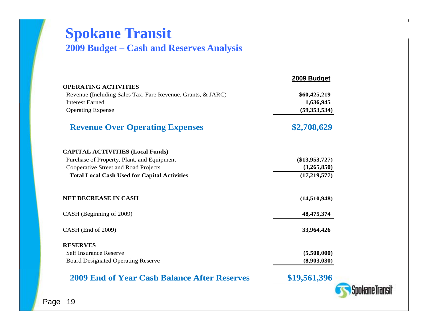#### **SPOKANE TRANSIT Spokane Transit**

#### **November 20, 2008 2009 Budget – Cash and Reserves Analysis**

|                                                             | 2009 Budget      |  |
|-------------------------------------------------------------|------------------|--|
| <b>OPERATING ACTIVITIES</b>                                 |                  |  |
| Revenue (Including Sales Tax, Fare Revenue, Grants, & JARC) | \$60,425,219     |  |
| <b>Interest Earned</b>                                      | 1,636,945        |  |
| <b>Operating Expense</b>                                    | (59, 353, 534)   |  |
| <b>Revenue Over Operating Expenses</b>                      | \$2,708,629      |  |
| <b>CAPITAL ACTIVITIES (Local Funds)</b>                     |                  |  |
| Purchase of Property, Plant, and Equipment                  | $(\$13,953,727)$ |  |
| Cooperative Street and Road Projects                        | (3,265,850)      |  |
| <b>Total Local Cash Used for Capital Activities</b>         | (17, 219, 577)   |  |
| <b>NET DECREASE IN CASH</b>                                 | (14,510,948)     |  |
| CASH (Beginning of 2009)                                    | 48, 475, 374     |  |
| CASH (End of 2009)                                          | 33,964,426       |  |
| <b>RESERVES</b>                                             |                  |  |
| <b>Self Insurance Reserve</b>                               | (5,500,000)      |  |
| <b>Board Designated Operating Reserve</b>                   | (8,903,030)      |  |
| <b>2009 End of Year Cash Balance After Reserves</b>         | \$19,561,396     |  |
|                                                             |                  |  |
|                                                             |                  |  |

 $\mathbf{I}$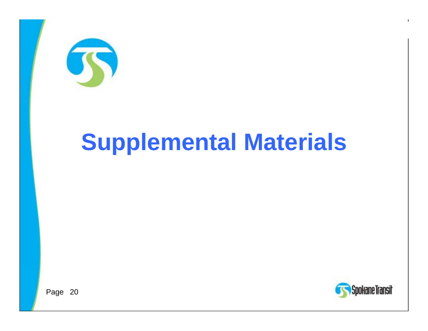

# **Supplemental Materials**



 $\mathbf{I}$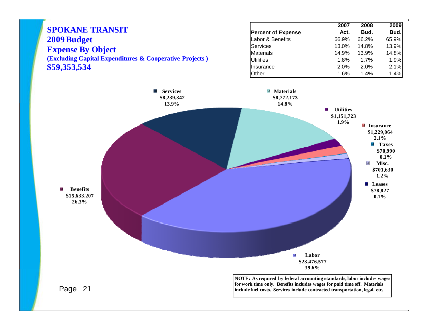

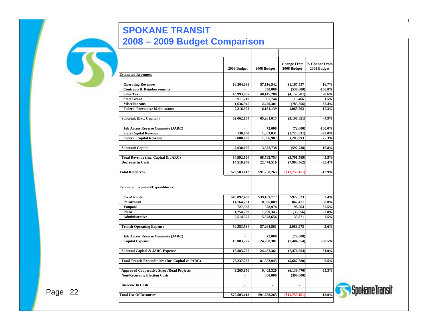#### **SPOKANE TRANSIT SPOKANE TRANSIT 2008-2009 Budget Comparison November 20, 2008 2008 – 2009 Budget Comparison**

|                                                  | 2009 Budget           | 2008 Budget           | <b>Change From</b><br>2008 Budget | % Change From<br>2008 Budget |
|--------------------------------------------------|-----------------------|-----------------------|-----------------------------------|------------------------------|
| <b>Estimated Revenues:</b>                       |                       |                       |                                   |                              |
|                                                  |                       |                       |                                   |                              |
| <b>Operating Revenues</b>                        | \$8,304,099           | \$7,116,542           | \$1,187,557                       | 16.7%                        |
| <b>Contracts &amp; Reimbursements</b>            |                       | 530,000               | (530,000)                         | $-100.0%$                    |
| <b>Sales Tax</b><br><b>State Grant</b>           | 43,993,007<br>911,210 | 48,145,288<br>897,744 | (4,152,281)<br>13,466             | $-8.6%$<br>1.5%              |
| <b>Miscellaneous</b>                             | 1,636,945             | 2,420,301             | (783, 356)                        | $-32.4%$                     |
| <b>Federal Preventive Maintenance</b>            | 7,216,902             | 6,151,139             | 1,065,763                         | 17.3%                        |
|                                                  |                       |                       |                                   |                              |
| Subtotal: (Exc. Capital)                         | 62,062,164            | 65,261,015            | (3, 198, 851)                     | $-4.9%$                      |
|                                                  |                       |                       |                                   |                              |
| <b>Job Access Reverse Commute (JARC)</b>         |                       | 72,000                | (72,000)                          | $-100.0\%$                   |
| <b>State Capital Revenue</b>                     | 130,000               | 1.853.831             | (1,723,831)                       | $-93.0%$                     |
| <b>Federal Capital Revenue</b>                   | 2,800,000             | 1,596,907             | 1,203,093                         | 75.3%                        |
|                                                  |                       |                       |                                   |                              |
| <b>Subtotal: Capital</b>                         | 2,930,000             | 3,522,738             | (592, 738)                        | $-16.8%$                     |
|                                                  |                       |                       |                                   |                              |
| Total Revenue (Inc. Capital & JARC)              | 64,992,164            | 68,783,753            | (3,791,589)                       | $-5.5%$                      |
| <b>Decrease In Cash</b>                          | 14,510,948            | 22,474,510            | (7,963,562)                       | $-35.4%$                     |
| <b>Total Resources</b>                           | \$79,503,112          | \$91,258,263          | $(*11,755,151)$                   | $-12.9%$                     |
|                                                  |                       |                       |                                   |                              |
|                                                  |                       |                       |                                   |                              |
| <b>Estimated Expenses/Expenditures:</b>          |                       |                       |                                   |                              |
|                                                  |                       |                       |                                   |                              |
| <b>Fixed Route</b>                               | \$40,092,400          | \$39,169,777          | \$922,623                         | 2.4%                         |
| Paratransit                                      | 11,764,281            | 10,896,809            | 867,471                           | 8.0%                         |
| <b>Vanpool</b>                                   | 727,538               | 528,974               | 198,564                           | 37.5%                        |
| Plaza<br><b>Administrative</b>                   | 1,254,789             | 1,290,345             | (35, 556)                         | $-2.8%$                      |
|                                                  | 5,514,527             | 5,378,656             | 135,871                           | 2.5%                         |
| <b>Transit Operating Expense</b>                 | 59,353,534            | 57,264,561            | 2,088,973                         | 3.6%                         |
|                                                  |                       |                       |                                   |                              |
| <b>Job Access Reverse Commute (JARC)</b>         |                       | 72.000                | (72,000)                          |                              |
| <b>Capital Expense</b>                           | 16,883,727            | 24.288.381            | (7, 404, 654)                     | $-30.5%$                     |
|                                                  |                       |                       |                                   |                              |
| <b>Subtotal Capital &amp; JARC Expense</b>       | 16,883,727            | 24,482,361            | (7,476,654)                       | $-31.0%$                     |
|                                                  |                       |                       |                                   |                              |
| Total Transit Expenditures (Inc. Capital & JARC) | 76,237,262            | 81,552,943            | (5,687,680)                       | $-6.5%$                      |
|                                                  |                       |                       |                                   |                              |
| <b>Approved Cooperative Street/Road Projects</b> | 3,265,850             | 9,405,320             | (6, 139, 470)                     | $-65.3%$                     |
| <b>Non-Recurring Election Costs</b>              | $\blacksquare$        | 300,000               | (300,000)                         |                              |
|                                                  |                       |                       |                                   |                              |
| <b>Increase In Cash</b>                          | $\blacksquare$        | $\blacksquare$        | $\blacksquare$                    |                              |
|                                                  |                       |                       |                                   |                              |
| <b>Total Use Of Resources</b>                    | \$79,503,112          | \$91,258,263          | $(*11,755,151)$                   | $-12.9%$                     |
|                                                  |                       |                       |                                   |                              |

 $\mathbf{I}$ 

Spokane Transit

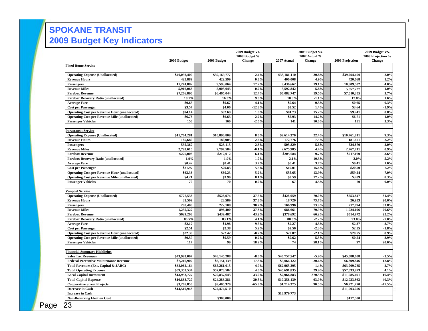#### **SPOKANE TRANSIT 2009 Budget Key Indicators**

|                                                      |              |              | 2009 Budget Vs.<br>2008 Budget % |              | 2009 Budget Vs.<br>2007 Actual % |                 | 2009 Budget VS.<br>2008 Projection % |
|------------------------------------------------------|--------------|--------------|----------------------------------|--------------|----------------------------------|-----------------|--------------------------------------|
|                                                      | 2009 Budget  | 2008 Budget  | <b>Change</b>                    | 2007 Actual  | <b>Change</b>                    | 2008 Projection | <b>Change</b>                        |
| <b>Fixed Route Service</b>                           |              |              |                                  |              |                                  |                 |                                      |
| <b>Operating Expense (Unallocated)</b>               | \$40,092,400 | \$39,169,777 | 2.4%                             | \$33,181,110 | 20.8%                            | \$39,294,490    | 2.0%                                 |
| <b>Revenue Hours</b>                                 | 425,889      | 422,599      | 0.8%                             | 406.008      | 4.9%                             | 420,668         | 1.2%                                 |
| Passengers                                           | 11,241,882   | 9,593,064    | 17.2%                            | 9,436,662    | 19.1%                            | 10,809,502      | 4.0%                                 |
| <b>Revenue Miles</b>                                 | 5,916,068    | 5,905,043    | 0.2%                             | 5,592,842    | 5.8%                             | 5,857,727       | 1.0%                                 |
| <b>Farebox Revenue</b>                               | \$7,266,890  | \$6,465,044  | 12.4%                            | \$6,082,747  | 19.5%                            | \$7,010,355     | 3.7%                                 |
| <b>Farebox Recovery Ratio (unallocated)</b>          | 18.1%        | 16.5%        | 9.8%                             | 18.3%        | $-1.1%$                          | 17.8%           | 1.6%                                 |
| <b>Average Fare</b>                                  | \$0.65       | \$0.67       | $-4.1%$                          | \$0.64       | 0.3%                             | \$0.65          | $-0.3%$                              |
| <b>Cost per Passenger</b>                            | \$3.57       | \$4.06       | $-12.3%$                         | \$3.52       | 1.4%                             | \$3.64          | $-1.9%$                              |
| <b>Operating Cost per Revenue Hour (unallocated)</b> | \$94.14      | \$92.69      | 1.6%                             | \$81.73      | 15.2%                            | \$93.41         | 0.8%                                 |
| <b>Operating Cost per Revenue Mile (unallocated)</b> | \$6.78       | \$6.63       | 2.2%                             | \$5.93       | 14.2%                            | \$6.71          | 1.0%                                 |
| <b>Passenger Vehicles</b>                            | 156          | 160          | $-2.5%$                          | 141          | 10.6%                            | 151             | 3.3%                                 |
| Paratransit Service                                  |              |              |                                  |              |                                  |                 |                                      |
| <b>Operating Expense (Unallocated)</b>               | \$11,764,281 | \$10,896,809 | 8.0%                             | \$9,614,370  | 22.4%                            | \$10,761,811    | 9.3%                                 |
| <b>Revenue Hours</b>                                 | 185,680      | 180,905      | 2.6%                             | 172,776      | 7.5%                             | 181,671         | 2.2%                                 |
| Passengers                                           | 535,367      | 523,115      | 2.3%                             | 505,829      | 5.8%                             | 524,870         | 2.0%                                 |
| <b>Revenue Miles</b>                                 | 2,793,615    | 2,797,584    | $-0.1%$                          | 2,675,985    | 4.4%                             | 2,767,711       | 0.9%                                 |
| <b>Farebox Revenue</b>                               | \$225,008    | \$212,012    | 6.1%                             | \$205,084    | 9.7%                             | \$217,169       | 3.6%                                 |
| <b>Farebox Recovery Ratio (unallocated)</b>          | 1.9%         | 1.9%         | $-1.7%$                          | 2.1%         | $-10.3%$                         | 2.0%            | $-5.2%$                              |
| <b>Average Fare</b>                                  | \$0.42       | \$0.41       | 3.7%                             | \$0.41       | 3.7%                             | \$0.41          | 1.6%                                 |
| <b>Cost per Passenger</b>                            | \$21.97      | \$20.83      | 5.5%                             | \$19.01      | 15.6%                            | \$20.50         | 7.2%                                 |
| <b>Operating Cost per Revenue Hour (unallocated)</b> | \$63.36      | \$60.23      | 5.2%                             | \$55.65      | 13.9%                            | \$59.24         | 7.0%                                 |
| <b>Operating Cost per Revenue Mile (unallocated)</b> | \$4.21       | \$3.90       | 8.1%                             | \$3.59       | 17.2%                            | \$3.89          | 8.3%                                 |
| <b>Passenger Vehicles</b>                            | 70           | 70           | $0.0\%$                          | 67           | 4.5%                             | 70              | $0.0\%$                              |
| Vanpool Service                                      |              |              |                                  |              |                                  |                 |                                      |
| <b>Operating Expense (Unallocated)</b>               | \$727,538    | \$528,974    | 37.5%                            | \$428,059    | 70.0%                            | \$553,847       | 31.4%                                |
| <b>Revenue Hours</b>                                 | 32,509       | 23,589       | 37.8%                            | 18,720       | 73.7%                            | 26,953          | 20.6%                                |
| Passengers                                           | 290,400      | 222,108      | 30.7%                            | 166,996      | 73.9%                            | 217,094         | 33.8%                                |
| <b>Revenue Miles</b>                                 | 1,235,327    | 896,400      | 37.8%                            | 686,661      | 79.9%                            | 1,024,196       | 20.6%                                |
| <b>Farebox Revenue</b>                               | \$629,208    | \$439.487    | 43.2%                            | \$378,692    | 66.2%                            | \$514,972       | 22.2%                                |
| <b>Farebox Recovery Ratio (unallocated)</b>          | 86.5%        | 83.1%        | 4.1%                             | 88.5%        | $-2.2%$                          | 93.0%           | $-7.0%$                              |
| <b>Average Fare</b>                                  | \$2.17       | \$1.98       | 9.5%                             | \$2.27       | $-4.5%$                          | \$2.37          | $-8.7%$                              |
| <b>Cost per Passenger</b>                            | \$2.51       | \$2.38       | 5.2%                             | \$2.56       | $-2.3%$                          | \$2.55          | $-1.8%$                              |
| <b>Operating Cost per Revenue Hour (unallocated)</b> | \$22.38      | \$22.42      | $-0.2%$                          | \$22.87      | $-2.1%$                          | \$20.55         | 8.9%                                 |
| <b>Operating Cost per Revenue Mile (unallocated)</b> | \$0.59       | \$0.59       | $-0.2%$                          | \$0.62       | $-5.5%$                          | \$0.54          | 8.9%                                 |
| <b>Passenger Vehicles</b>                            | 117          | 99           | 18.2%                            | 74           | 58.1%                            | 97              | 20.6%                                |
| <b>Financial Summary Highlights</b>                  |              |              |                                  |              |                                  |                 |                                      |
| <b>Sales Tax Revenues</b>                            | \$43,993,007 | \$48,145,288 | $-8.6%$                          | \$46,757,547 | $-5.9%$                          | \$45,588,608    | $-3.5%$                              |
| <b>Federal Preventive Maintenance Revenue</b>        | \$7,216,902  | \$6,151,139  | 17.3%                            | \$9,064,122  | $-20.4%$                         | \$6,399,846     | 12.8%                                |
| Total Revenues (Exc. Capital & JARC)                 | \$62,062,164 | \$65,261,015 | $-4.9%$                          | \$62,965,295 | $-1.4%$                          | \$63,769,785    | $-2.7%$                              |
| <b>Total Operating Expense</b>                       | \$59,353,534 | \$57,070,582 | 4.0%                             | \$45,691,835 | 29.9%                            | \$57,033,973    | 4.1%                                 |
| <b>Local Capital Investment</b>                      | \$13,953,727 | \$20,837,643 | $-33.0%$                         | \$2,966,883  | 370.3%                           | \$11,985,491    | 16.4%                                |
| <b>Total Capital Expense</b>                         | \$16,883,727 | \$24,288,381 | $-30.5%$                         | \$10,356,139 | 63.0%                            | \$12,033,863    | 40.3%                                |
| <b>Cooperative Street Projects</b>                   | \$3,265,850  | \$9,405,320  | $-65.3%$                         | \$1,714,375  | 90.5%                            | \$6,221,770     | $-47.5%$                             |
| Decrease in Cash                                     | \$14,510,948 | \$22,474,510 |                                  |              |                                  | \$11,003,056    |                                      |
| <b>Increase in Cash</b>                              |              |              |                                  | \$13,979,773 |                                  |                 |                                      |
| <b>Non-Recurring Election Cost</b>                   |              | \$300,000    |                                  |              |                                  | \$117,500       |                                      |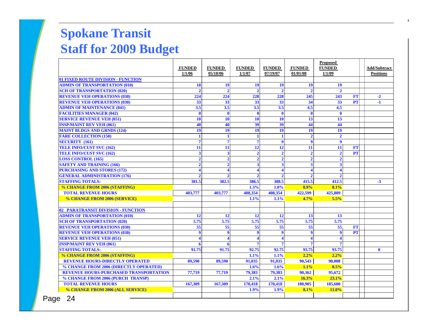#### **SPOKANE TRANSIT Spokane Transit Proposed Statistic Compared to 2006 Staff for 2009 Budget**

|                                               | <b>FUNDED</b>           | <b>FUNDED</b>           | <b>FUNDED</b>           | <b>FUNDED</b>  | <b>FUNDED</b>           | <b>Proposed</b><br><b>FUNDED</b> |           | <b>Add/Subtract</b> |
|-----------------------------------------------|-------------------------|-------------------------|-------------------------|----------------|-------------------------|----------------------------------|-----------|---------------------|
|                                               | 1/1/06                  | 05/18/06                | 1/1/07                  | 07/19/07       | 01/01/08                | 1/1/09                           |           | <b>Positions</b>    |
| 01 FIXED ROUTE DIVISION - FUNCTION            |                         |                         |                         |                |                         |                                  |           |                     |
| <b>ADMIN OF TRANSPORTATION (010)</b>          | 18                      | 19                      | 19                      | 19             | 19                      | 19                               |           |                     |
| <b>SCH OF TRANSPORTATION (020)</b>            | $\mathcal{D}$           |                         | $\overline{2}$          |                | $\overline{2}$          | $\mathcal{D}$                    |           |                     |
| <b>REVENUE VEH OPERATIONS (030)</b>           | 224                     | 224                     | 228                     | 228            | 245                     | 243                              | <b>FT</b> | $-2$                |
| <b>REVENUE VEH OPERATIONS (030)</b>           | 33                      | 33                      | 33                      | 33             | 34                      | 33                               | <b>PT</b> | $-1$                |
| <b>ADMIN OF MAINTENANCE (041)</b>             | 3.5                     | 3.5                     | 3.5                     | 3.5            | 4.5                     | 4.5                              |           |                     |
| <b>FACILITIES MANAGER (042)</b>               | $\mathbf 0$             | $\mathbf{0}$            | $\bf{0}$                | $\mathbf{0}$   | $\mathbf{0}$            | $\mathbf 0$                      |           |                     |
| <b>SERVICE REVENUE VEH (051)</b>              | 10                      | 10                      | 10                      | 10             | 13                      | 13                               |           |                     |
| <b>INSP/MAINT REV VEH (061)</b>               | 40                      | 40                      | 39                      | 39             | 44                      | 44                               |           |                     |
| <b>MAINT BLDGS AND GRNDS (124)</b>            | 19                      | 19                      | 19                      | 19             | 19                      | 19                               |           |                     |
| <b>FARE COLLECTION (150)</b>                  | $\mathbf{1}$            |                         | $\mathbf{1}$            |                | $\overline{2}$          | $\overline{2}$                   |           |                     |
| <b>SECURITY</b> (161)                         | $\overline{7}$          | 7                       | $\overline{7}$          | $\mathbf Q$    | $\boldsymbol{9}$        | 9                                |           |                     |
| <b>TELE INFO/CUST SVC (162)</b>               | 11                      | 11                      | 12                      | 12             | 11                      | 11                               | FT        |                     |
| <b>TELE INFO/CUST SVC (162)</b>               | $\overline{\mathbf{3}}$ | $\overline{\mathbf{3}}$ | $\overline{2}$          | $\overline{2}$ | $\overline{2}$          | $\overline{2}$                   | <b>PT</b> |                     |
| <b>LOSS CONTROL (165)</b>                     | $\overline{2}$          | $\mathcal{D}$           | $\overline{2}$          | $\mathcal{D}$  | $\overline{2}$          | $\overline{2}$                   |           |                     |
| <b>SAFETY AND TRAINING (166)</b>              | $\overline{2}$          | $\overline{2}$          | $\overline{\mathbf{3}}$ | 3              | $\overline{\mathbf{3}}$ | $\overline{\mathbf{3}}$          |           |                     |
| <b>PURCHASING AND STORES (172)</b>            | $\overline{\mathbf{4}}$ |                         |                         |                | 4                       |                                  |           |                     |
| <b>GENERAL ADMINISTRATION (176)</b>           |                         |                         |                         |                |                         |                                  |           |                     |
| <b>STAFFING TOTALS:</b>                       | 381.5                   | 382.5                   | 386.5                   | 388.5          | 415.5                   | 412.5                            |           | $-3$                |
| % CHANGE FROM 2006 (STAFFING)                 |                         |                         | 1.3%                    | 1.8%           | 8.9%                    | 8.1%                             |           |                     |
| <b>TOTAL REVENUE HOURS</b>                    | 403,777                 | 403,777                 | 408,354                 | 408,354        | 422,599                 | 425,889                          |           |                     |
| % CHANGE FROM 2006 (SERVICE)                  |                         |                         | 1.1%                    | 1.1%           | 4.7%                    | 5.5%                             |           |                     |
|                                               |                         |                         |                         |                |                         |                                  |           |                     |
| 02 PARATRANSIT DIVISION - FUNCTION            |                         |                         |                         |                |                         |                                  |           |                     |
| <b>ADMIN OF TRANSPORTATION (010)</b>          | 12                      | 12                      | <b>12</b>               | 12             | 13                      | 13                               |           |                     |
| <b>SCH OF TRANSPORTATION (020)</b>            | 5.75                    | 5.75                    | 5.75                    | 5.75           | 5.75                    | 5.75                             |           |                     |
| <b>REVENUE VEH OPERATIONS (030)</b>           | 55                      | 55                      | 55                      | 55             | 55                      | 55                               | <b>FT</b> |                     |
| <b>REVENUE VEH OPERATIONS (030)</b>           | 9                       | 9                       | $\boldsymbol{9}$        | 9              | $\boldsymbol{9}$        | 9                                | <b>PT</b> |                     |
| <b>SERVICE REVENUE VEH (051)</b>              |                         |                         | $\blacktriangleleft$    |                | 4                       | $\Delta$                         |           |                     |
| <b>INSP/MAINT REV VEH (061)</b>               |                         |                         |                         |                |                         |                                  |           |                     |
| <b>STAFFING TOTALS:</b>                       | 91.75                   | 91.75                   | 92.75                   | 92.75          | 93.75                   | 93.75                            |           | $\mathbf{0}$        |
| % CHANGE FROM 2006 (STAFFING)                 |                         |                         | 1.1%                    | 1.1%           | 2.2%                    | 2.2%                             |           |                     |
| <b>REVENUE HOURS-DIRECTLY OPERATED</b>        | 89,590                  | 89,590                  | 91,035                  | 91,035         | 90,543                  | 90.008                           |           |                     |
| % CHANGE FROM 2006 (DIRECTLY OPERATED)        |                         |                         | 1.6%                    | 1.6%           | 1.1%                    | 0.5%                             |           |                     |
| <b>REVENUE HOURS-PURCHASED TRANSPORTATION</b> | 77,719                  | 77,719                  | 79,383                  | 79.383         | 90,362                  | 95,672                           |           |                     |
| % CHANGE FROM 2006 (PURCH TRANSP)             |                         |                         | 2.1%                    | 2.1%           | 16.3%                   | 23.1%                            |           |                     |
| <b>TOTAL REVENUE HOURS</b>                    | 167,309                 | 167,309                 | 170,418                 | 170,418        | 180,905                 | 185,680                          |           |                     |
| % CHANGE FROM 2006 (ALL SERVICE)              |                         |                         | 1.9%                    | 1.9%           | 8.1%                    | 11.0%                            |           |                     |
| $\Omega$<br>$\sim$                            |                         |                         |                         |                |                         |                                  |           |                     |

Page 24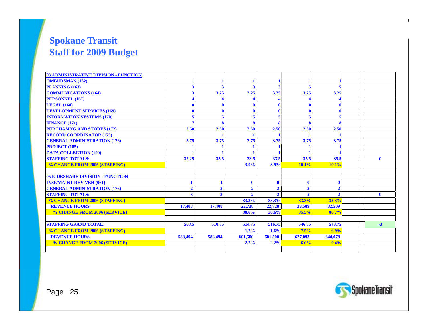#### **Spokane Transit Staff for 2009 Budget**

| 03 ADMINISTRATIVE DIVISION - FUNCTION                 |                |                     |                               |                                |                                |                                  |              |
|-------------------------------------------------------|----------------|---------------------|-------------------------------|--------------------------------|--------------------------------|----------------------------------|--------------|
| <b>OMBUDSMAN (162)</b>                                |                |                     |                               |                                |                                |                                  |              |
| PLANNING (163)                                        | 3              |                     |                               |                                | 5                              |                                  |              |
| <b>COMMUNICATIONS (164)</b>                           |                | 3.25                | 3.25                          | 3.25                           | 3.25                           | 3.25                             |              |
| <b>PERSONNEL (167)</b>                                |                |                     |                               |                                |                                |                                  |              |
| <b>LEGAL (168)</b>                                    |                |                     |                               |                                | $\mathbf 0$                    |                                  |              |
| <b>DEVELOPMENT SERVICES (169)</b>                     |                |                     |                               |                                | $\mathbf 0$                    |                                  |              |
| <b>INFORMATION SYSTEMS (170)</b>                      |                |                     |                               | 5                              | 5                              |                                  |              |
| <b>FINANCE (171)</b>                                  | $\overline{7}$ |                     |                               |                                | $\mathbf{R}$                   |                                  |              |
| <b>PURCHASING AND STORES (172)</b>                    | 2.50           | 2.50                | 2.50                          | 2.50                           | 2.50                           | 2.50                             |              |
| <b>RECORD COORDINATOR (175)</b>                       |                |                     |                               |                                |                                |                                  |              |
| <b>GENERAL ADMINISTRATION (176)</b>                   | 3.75           | 3.75                | 3.75                          | 3.75                           | 3.75                           | 3.75                             |              |
| <b>PROJECT (185)</b>                                  |                |                     |                               |                                |                                |                                  |              |
| <b>DATA COLLECTION (190)</b>                          |                |                     |                               |                                |                                |                                  |              |
| <b>STAFFING TOTALS:</b>                               | 32.25          | 33.5                | 33.5                          | 33.5                           | 35.5                           | 35.5                             | $\mathbf 0$  |
| % CHANGE FROM 2006 (STAFFING)                         |                |                     | 3.9%                          | 3.9%                           | 10.1%                          | 10.1%                            |              |
|                                                       |                |                     |                               |                                |                                |                                  |              |
| <b>05 RIDESHARE DIVISION - FUNCTION</b>               |                |                     |                               |                                |                                |                                  |              |
| <b>INSP/MAINT REV VEH (061)</b>                       |                | 1<br>$\overline{2}$ | $\mathbf 0$<br>$\overline{2}$ | $\mathbf{0}$<br>$\overline{2}$ | $\mathbf{0}$<br>$\overline{2}$ | $\mathbf{0}$                     |              |
| <b>GENERAL ADMINISTRATION (176)</b>                   | $\overline{2}$ |                     | $\mathbf{r}$                  | $\overline{2}$                 | $\overline{2}$                 | $\overline{2}$<br>$\overline{2}$ |              |
| <b>STAFFING TOTALS:</b>                               | 3              | 3                   |                               |                                |                                |                                  | $\mathbf{0}$ |
| % CHANGE FROM 2006 (STAFFING)                         |                |                     | $-33.3%$                      | $-33.3%$                       | $-33.3%$                       | $-33.3%$                         |              |
| <b>REVENUE HOURS</b>                                  | 17,408         | 17,408              | 22,728                        | 22,728                         | 23,589                         | 32,509                           |              |
| % CHANGE FROM 2006 (SERVICE)                          |                |                     | 30.6%                         | 30.6%                          | 35.5%                          | 86.7%                            |              |
| <b>STAFFING GRAND TOTAL:</b>                          | 508.5          | 510.75              | 514.75                        | 516.75                         | 546.75                         | 543.75                           | $-3$         |
|                                                       |                |                     |                               |                                | 7.5%                           | 6.9%                             |              |
| % CHANGE FROM 2006 (STAFFING)<br><b>REVENUE HOURS</b> |                |                     | 1.2%                          | 1.6%                           |                                |                                  |              |
|                                                       | 588,494        | 588,494             | 601,500                       | 601,500                        | 627,093                        | 644,078                          |              |
| % CHANGE FROM 2006 (SERVICE)                          |                |                     | 2.2%                          | 2.2%                           | 6.6%                           | 9.4%                             |              |
|                                                       |                |                     |                               |                                |                                |                                  |              |

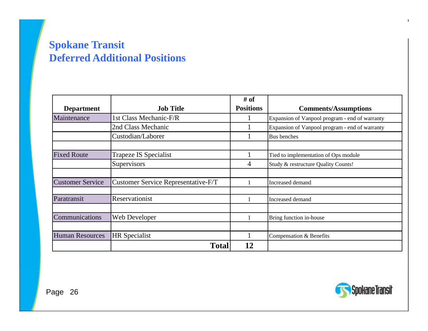#### **Spokane Transit Deferred Additional Positions Additional**

|                         |                                     | # of             |                                                |
|-------------------------|-------------------------------------|------------------|------------------------------------------------|
| <b>Department</b>       | <b>Job Title</b>                    | <b>Positions</b> | <b>Comments/Assumptions</b>                    |
| Maintenance             | 1st Class Mechanic-F/R              |                  | Expansion of Vanpool program - end of warranty |
|                         | 2nd Class Mechanic                  |                  | Expansion of Vanpool program - end of warranty |
|                         | Custodian/Laborer                   |                  | Bus benches                                    |
|                         |                                     |                  |                                                |
| <b>Fixed Route</b>      | Trapeze IS Specialist               |                  | Tied to implementation of Ops module           |
|                         | Supervisors                         | 4                | Study & restructure Quality Counts!            |
|                         |                                     |                  |                                                |
| <b>Customer Service</b> | Customer Service Representative-F/T |                  | Increased demand                               |
|                         |                                     |                  |                                                |
| Paratransit             | Reservationist                      |                  | Increased demand                               |
|                         |                                     |                  |                                                |
| Communications          | Web Developer                       |                  | Bring function in-house                        |
|                         |                                     |                  |                                                |
| <b>Human Resources</b>  | <b>HR</b> Specialist                |                  | Compensation & Benefits                        |
|                         | <b>Total</b>                        | 12               |                                                |

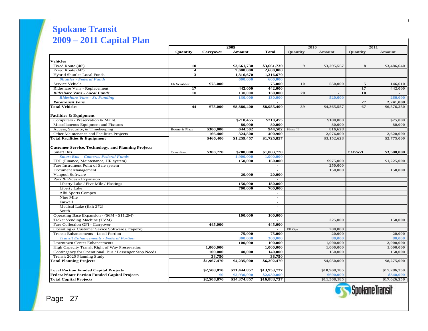#### **Spokane Transit Spokane Transit 2009 - 2011 Draft Capital Plan 2009 – 2011 Capital Plan**

|                                                            | 2009                    |                         |               |                          | 2010             | 2011           |                 |               |
|------------------------------------------------------------|-------------------------|-------------------------|---------------|--------------------------|------------------|----------------|-----------------|---------------|
|                                                            | <b>Ouantity</b>         | Carryover               | <b>Amount</b> | Total                    | <b>Ouantity</b>  | <b>Amount</b>  | <b>Quantity</b> | <b>Amount</b> |
|                                                            |                         |                         |               |                          |                  |                |                 |               |
| Vehicles                                                   |                         |                         |               |                          |                  |                |                 |               |
| Fixed Route (40')                                          | 10                      |                         | \$3,661,730   | \$3,661,730              | $\boldsymbol{9}$ | \$3,295,557    | 8               | \$3,486,640   |
| Fixed Route (60')                                          | $\overline{\mathbf{4}}$ |                         | 2,600,000     | 2,600,000                |                  |                |                 |               |
| Hybrid Shuttles Local Funds                                | 3                       |                         | 1,316,670     | 1,316,670                |                  |                |                 |               |
| <b>Shuttles - Federal Funds</b>                            |                         |                         | 600,000       | 600,000                  |                  |                |                 |               |
| Service Vehicle                                            | Flr Scrubber            | \$75,000                |               | 75,000                   | 10               | 550,000        | 5               | 146,610       |
| Rideshare Vans - Replacement                               | 17                      |                         | 442,000       | 442,000                  |                  |                | 17              | 442,000       |
| Rideshare Vans - Local Funds                               | 10                      |                         | 130,000       | 130,000                  | 20               | $\blacksquare$ | 10              |               |
| <b>Rideshare Vans - St. Funding</b>                        |                         |                         | 130,000       | 130,000                  |                  | 520,000        |                 | 260,000       |
| <b>Paratransit Vans</b>                                    |                         |                         |               |                          |                  |                | 27              | 2,241,000     |
| <b>Total Vehicles</b>                                      | 44                      | \$75,000                | \$8,880,400   | \$8,955,400              | 39               | \$4,365,557    | 67              | \$6,576,250   |
| <b>Facilities &amp; Equipment</b>                          |                         |                         |               |                          |                  |                |                 |               |
| Computers - Preservation & Maint.                          |                         |                         | \$210,455     | \$210,455                |                  | \$180,000      |                 | \$75,000      |
| Miscellaneous Equipment and Fixtures                       |                         |                         | 80,000        | 80,000                   |                  | 80,000         |                 | 80,000        |
| Access, Security, & Timekeeping                            | Boone & Plaza           | \$300,000               | 644,502       | 944,502                  | Phase II         | 816,628        |                 |               |
| Other Maintenance and Facilities Projects                  |                         | 166,400                 | 324,500       | 490,900                  |                  | 2,076,000      |                 | 2,620,000     |
| Total Facilities & Equipment                               |                         | \$466,400               | \$1,259,457   | \$1,725,857              |                  | \$3,152,628    |                 | \$2,775,000   |
|                                                            |                         |                         |               |                          |                  |                |                 |               |
| <b>Customer Service, Technology, and Planning Projects</b> |                         |                         |               |                          |                  |                |                 |               |
| Smart Bus                                                  | Consultant              | \$383,720               | \$700,000     | \$1,083,720              |                  |                | CAD/AVL         | \$3,500,000   |
| <b>Smart Bus - Cameras Federal Funds</b>                   |                         |                         | 1,900,000     | 1,900,000                |                  |                |                 |               |
| ERP (Finance, Maintenance, HR system)                      |                         |                         | 150,000       | 150,000                  |                  | \$975,000      |                 | \$1,225,000   |
| Fare Instrument Point of Sale system                       |                         |                         |               | $\blacksquare$           |                  | 250,000        |                 |               |
| Document Management                                        |                         |                         |               | $\sim$                   |                  | 150,000        |                 | 150,000       |
| Vanpool Software                                           |                         |                         | 20,000        | 20,000                   |                  |                |                 |               |
| Park & Rides - Expansion                                   |                         |                         |               |                          |                  |                |                 |               |
| Liberty Lake / Five Mile / Hastings                        |                         |                         | 150,000       | 150,000                  |                  |                |                 |               |
| Liberty Lake                                               |                         |                         | 700.000       | 700,000                  |                  |                |                 |               |
| Albi Sports Compex                                         |                         |                         |               | $\sim$                   |                  |                |                 |               |
| Nine Mile                                                  |                         |                         |               | $\sim$                   |                  |                |                 |               |
| Farwell                                                    |                         |                         |               | $\sim$                   |                  |                |                 |               |
| Medical Lake (Exit 272)                                    |                         |                         |               | $\sim$                   |                  |                |                 |               |
| South                                                      |                         |                         |               | $\overline{a}$           |                  |                |                 |               |
| Operating Base Expansion - (\$6M - \$11.2M)                |                         |                         | 100,000       | 100,000                  |                  |                |                 |               |
| Ticket Vending Machine (TVM)                               |                         |                         |               | $\overline{\phantom{a}}$ |                  | 225,000        |                 | 150,000       |
| Fare Collection GFI - Carryover                            |                         | 445,000                 |               | 445,000                  |                  |                |                 |               |
| Operating & Customer Sevice Software (Trapeze)             |                         |                         |               |                          | FR Ops           | 200,000        |                 |               |
| Transit Enhancements - Local Portion                       |                         |                         | 75,000        | 75,000                   |                  | 20,000         |                 | 20,000        |
| <b>Transit Enhancements - Federal Portion</b>              |                         |                         | 300,000       | 300,000                  |                  | 80,000         |                 | 80,000        |
| <b>Downtown Center Enhancements</b>                        |                         |                         | 100,000       | 100,000                  |                  | 1,000,000      |                 | 2,000,000     |
| High Capacity Transit Right of Way Preservation            |                         | 1,000,000               |               | 1,000,000                |                  | 1,000,000      |                 | 1,000,000     |
| Contingency for Operational Bus / Passenger Stop Needs     |                         | 100.000                 | 40.000        | 140,000                  |                  | 150,000        |                 | 150,000       |
| Transit 2020 Planning Study                                |                         | 38,750                  |               | 38,750                   |                  |                |                 |               |
| <b>Total Planning Projects</b>                             |                         | \$1,967,470             | \$4,235,000   | \$6,202,470              |                  | \$4,050,000    |                 | \$8,275,000   |
|                                                            |                         |                         |               |                          |                  |                |                 |               |
| <b>Local Portion Funded Capital Projects</b>               |                         | \$2,508,870             | \$11,444,857  | \$13,953,727             |                  | \$10,968,185   |                 | \$17,286,250  |
| <b>Federal/State Portion Funded Capital Projects</b>       |                         | \$0                     | \$2,930,000   | \$2,930,000              |                  | \$600,000      |                 | \$340,000     |
| <b>Total Capital Projects</b>                              |                         | $\overline{$}2,508,870$ | \$14,374,857  | \$16,883,727             |                  | \$11,568,185   |                 | \$17,626,250  |
|                                                            |                         |                         |               |                          |                  |                |                 |               |